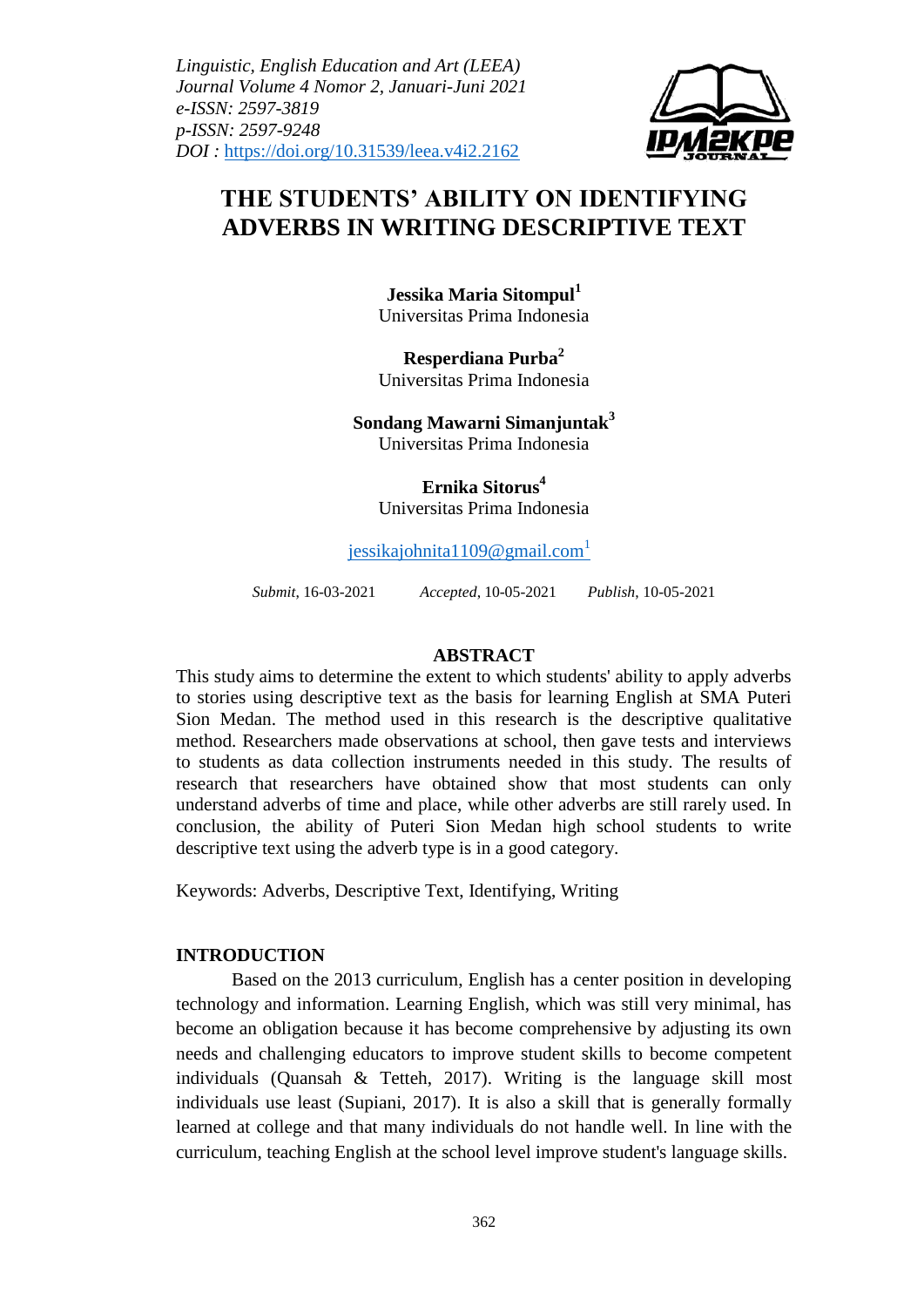*Linguistic, English Education and Art (LEEA) Journal Volume 4 Nomor 2, Januari-Juni 2021 e-ISSN: 2597-3819 p-ISSN: 2597-9248 DOI :* https://doi.org/10.31539/leea.v4i2.2162



# **THE STUDENTS' ABILITY ON IDENTIFYING ADVERBS IN WRITING DESCRIPTIVE TEXT**

**Jessika Maria Sitompul<sup>1</sup>** Universitas Prima Indonesia

**Resperdiana Purba<sup>2</sup>** Universitas Prima Indonesia

**Sondang Mawarni Simanjuntak<sup>3</sup>** Universitas Prima Indonesia

> **Ernika Sitorus<sup>4</sup>** Universitas Prima Indonesia

jessikajohnita $1109@g$ mail.com<sup>1</sup>

*Submit*, 16-03-2021 *Accepted*, 10-05-2021 *Publish*, 10-05-2021

#### **ABSTRACT**

This study aims to determine the extent to which students' ability to apply adverbs to stories using descriptive text as the basis for learning English at SMA Puteri Sion Medan. The method used in this research is the descriptive qualitative method. Researchers made observations at school, then gave tests and interviews to students as data collection instruments needed in this study. The results of research that researchers have obtained show that most students can only understand adverbs of time and place, while other adverbs are still rarely used. In conclusion, the ability of Puteri Sion Medan high school students to write descriptive text using the adverb type is in a good category.

Keywords: Adverbs, Descriptive Text, Identifying, Writing

### **INTRODUCTION**

Based on the 2013 curriculum, English has a center position in developing technology and information. Learning English, which was still very minimal, has become an obligation because it has become comprehensive by adjusting its own needs and challenging educators to improve student skills to become competent individuals (Quansah & Tetteh, 2017). Writing is the language skill most individuals use least (Supiani, 2017). It is also a skill that is generally formally learned at college and that many individuals do not handle well. In line with the curriculum, teaching English at the school level improve student's language skills.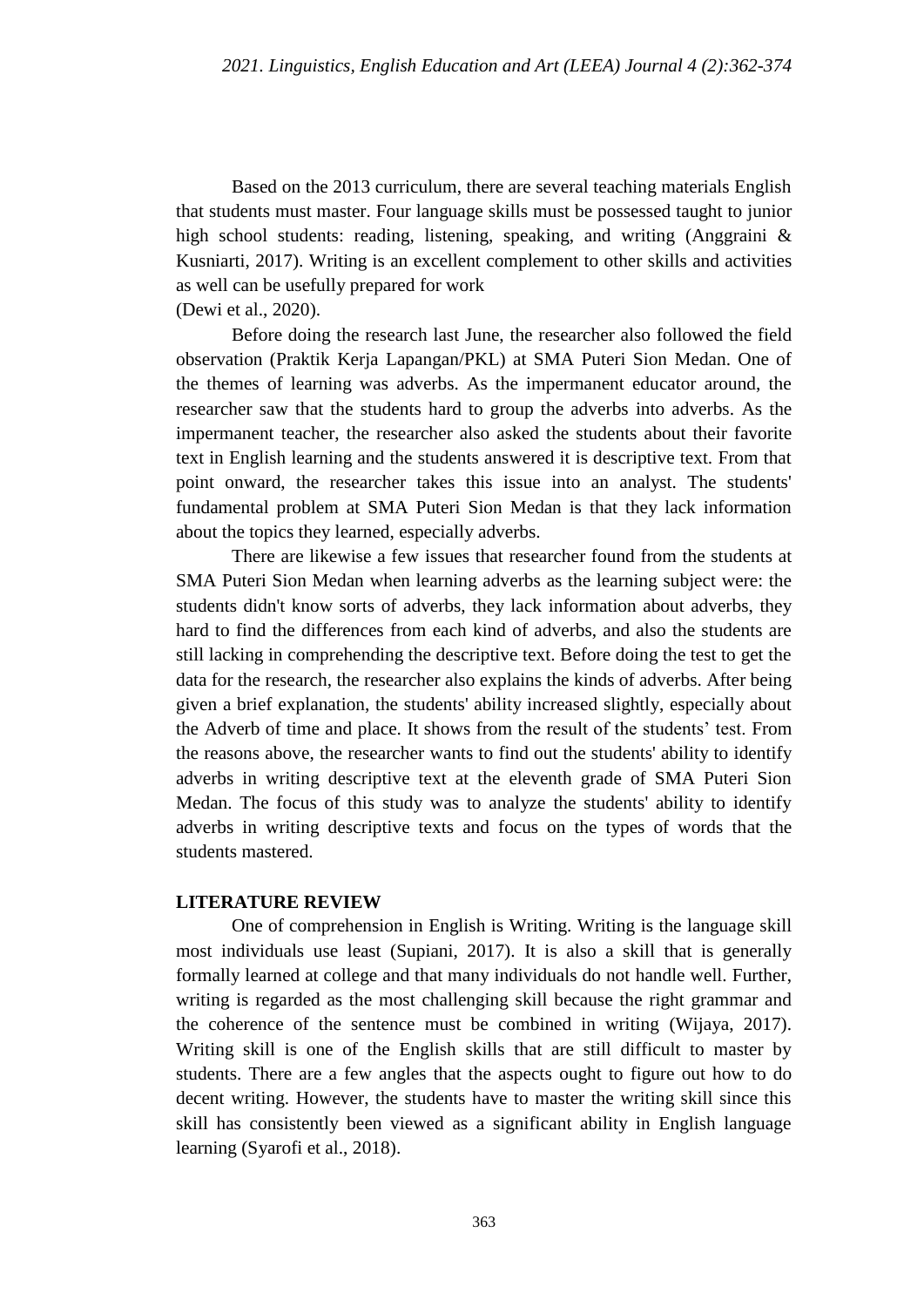Based on the 2013 curriculum, there are several teaching materials English that students must master. Four language skills must be possessed taught to junior high school students: reading, listening, speaking, and writing (Anggraini & Kusniarti, 2017). Writing is an excellent complement to other skills and activities as well can be usefully prepared for work

(Dewi et al., 2020).

Before doing the research last June, the researcher also followed the field observation (Praktik Kerja Lapangan/PKL) at SMA Puteri Sion Medan. One of the themes of learning was adverbs. As the impermanent educator around, the researcher saw that the students hard to group the adverbs into adverbs. As the impermanent teacher, the researcher also asked the students about their favorite text in English learning and the students answered it is descriptive text. From that point onward, the researcher takes this issue into an analyst. The students' fundamental problem at SMA Puteri Sion Medan is that they lack information about the topics they learned, especially adverbs.

There are likewise a few issues that researcher found from the students at SMA Puteri Sion Medan when learning adverbs as the learning subject were: the students didn't know sorts of adverbs, they lack information about adverbs, they hard to find the differences from each kind of adverbs, and also the students are still lacking in comprehending the descriptive text. Before doing the test to get the data for the research, the researcher also explains the kinds of adverbs. After being given a brief explanation, the students' ability increased slightly, especially about the Adverb of time and place. It shows from the result of the students' test. From the reasons above, the researcher wants to find out the students' ability to identify adverbs in writing descriptive text at the eleventh grade of SMA Puteri Sion Medan. The focus of this study was to analyze the students' ability to identify adverbs in writing descriptive texts and focus on the types of words that the students mastered.

### **LITERATURE REVIEW**

One of comprehension in English is Writing. Writing is the language skill most individuals use least (Supiani, 2017). It is also a skill that is generally formally learned at college and that many individuals do not handle well. Further, writing is regarded as the most challenging skill because the right grammar and the coherence of the sentence must be combined in writing (Wijaya, 2017). Writing skill is one of the English skills that are still difficult to master by students. There are a few angles that the aspects ought to figure out how to do decent writing. However, the students have to master the writing skill since this skill has consistently been viewed as a significant ability in English language learning (Syarofi et al., 2018).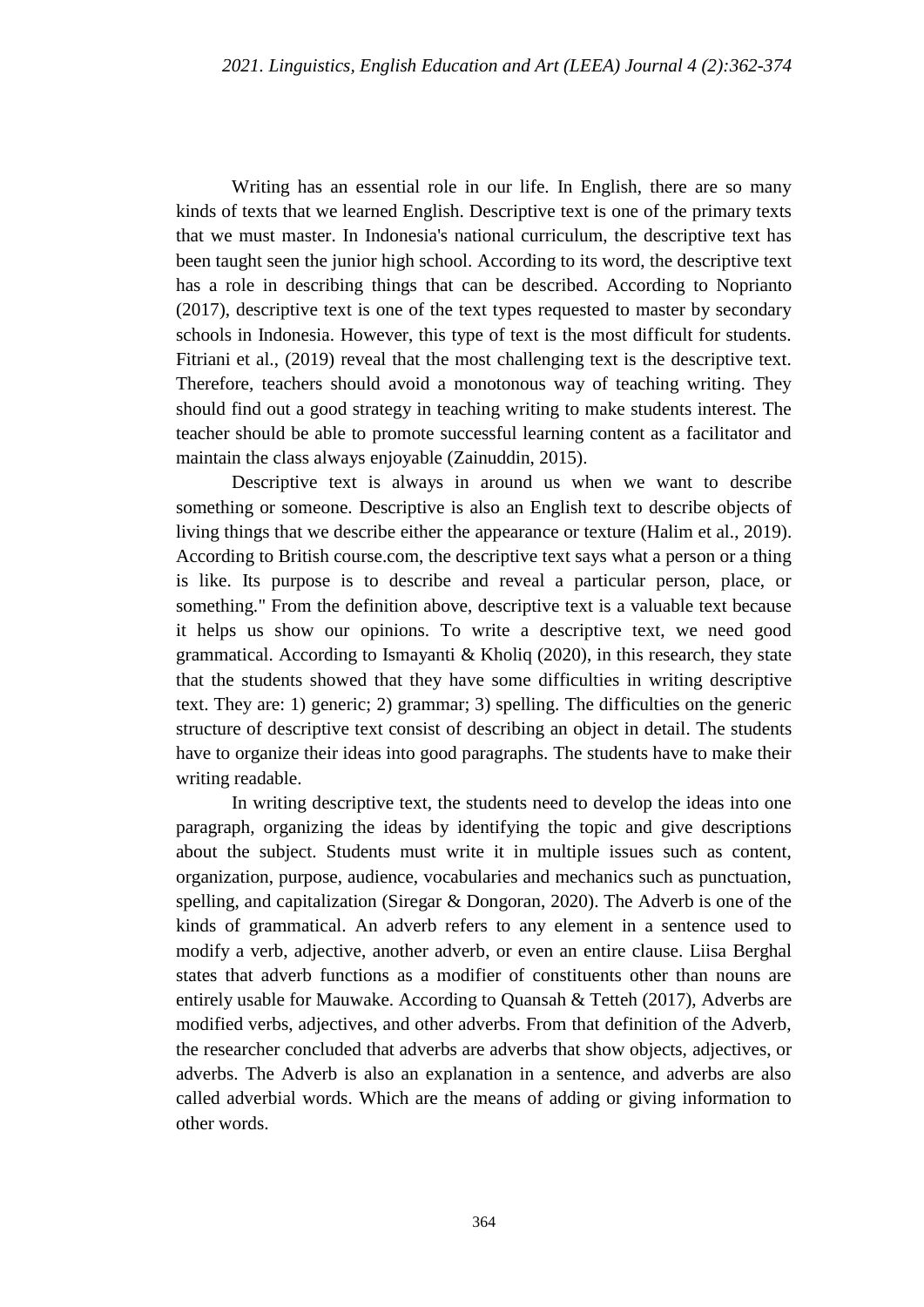Writing has an essential role in our life. In English, there are so many kinds of texts that we learned English. Descriptive text is one of the primary texts that we must master. In Indonesia's national curriculum, the descriptive text has been taught seen the junior high school. According to its word, the descriptive text has a role in describing things that can be described. According to Noprianto (2017), descriptive text is one of the text types requested to master by secondary schools in Indonesia. However, this type of text is the most difficult for students. Fitriani et al., (2019) reveal that the most challenging text is the descriptive text. Therefore, teachers should avoid a monotonous way of teaching writing. They should find out a good strategy in teaching writing to make students interest. The teacher should be able to promote successful learning content as a facilitator and maintain the class always enjoyable (Zainuddin, 2015).

Descriptive text is always in around us when we want to describe something or someone. Descriptive is also an English text to describe objects of living things that we describe either the appearance or texture (Halim et al., 2019). According to British course.com, the descriptive text says what a person or a thing is like. Its purpose is to describe and reveal a particular person, place, or something." From the definition above, descriptive text is a valuable text because it helps us show our opinions. To write a descriptive text, we need good grammatical. According to Ismayanti & Kholiq (2020), in this research, they state that the students showed that they have some difficulties in writing descriptive text. They are: 1) generic; 2) grammar; 3) spelling. The difficulties on the generic structure of descriptive text consist of describing an object in detail. The students have to organize their ideas into good paragraphs. The students have to make their writing readable.

In writing descriptive text, the students need to develop the ideas into one paragraph, organizing the ideas by identifying the topic and give descriptions about the subject. Students must write it in multiple issues such as content, organization, purpose, audience, vocabularies and mechanics such as punctuation, spelling, and capitalization (Siregar & Dongoran, 2020). The Adverb is one of the kinds of grammatical. An adverb refers to any element in a sentence used to modify a verb, adjective, another adverb, or even an entire clause. Liisa Berghal states that adverb functions as a modifier of constituents other than nouns are entirely usable for Mauwake. According to Quansah & Tetteh (2017), Adverbs are modified verbs, adjectives, and other adverbs. From that definition of the Adverb, the researcher concluded that adverbs are adverbs that show objects, adjectives, or adverbs. The Adverb is also an explanation in a sentence, and adverbs are also called adverbial words. Which are the means of adding or giving information to other words.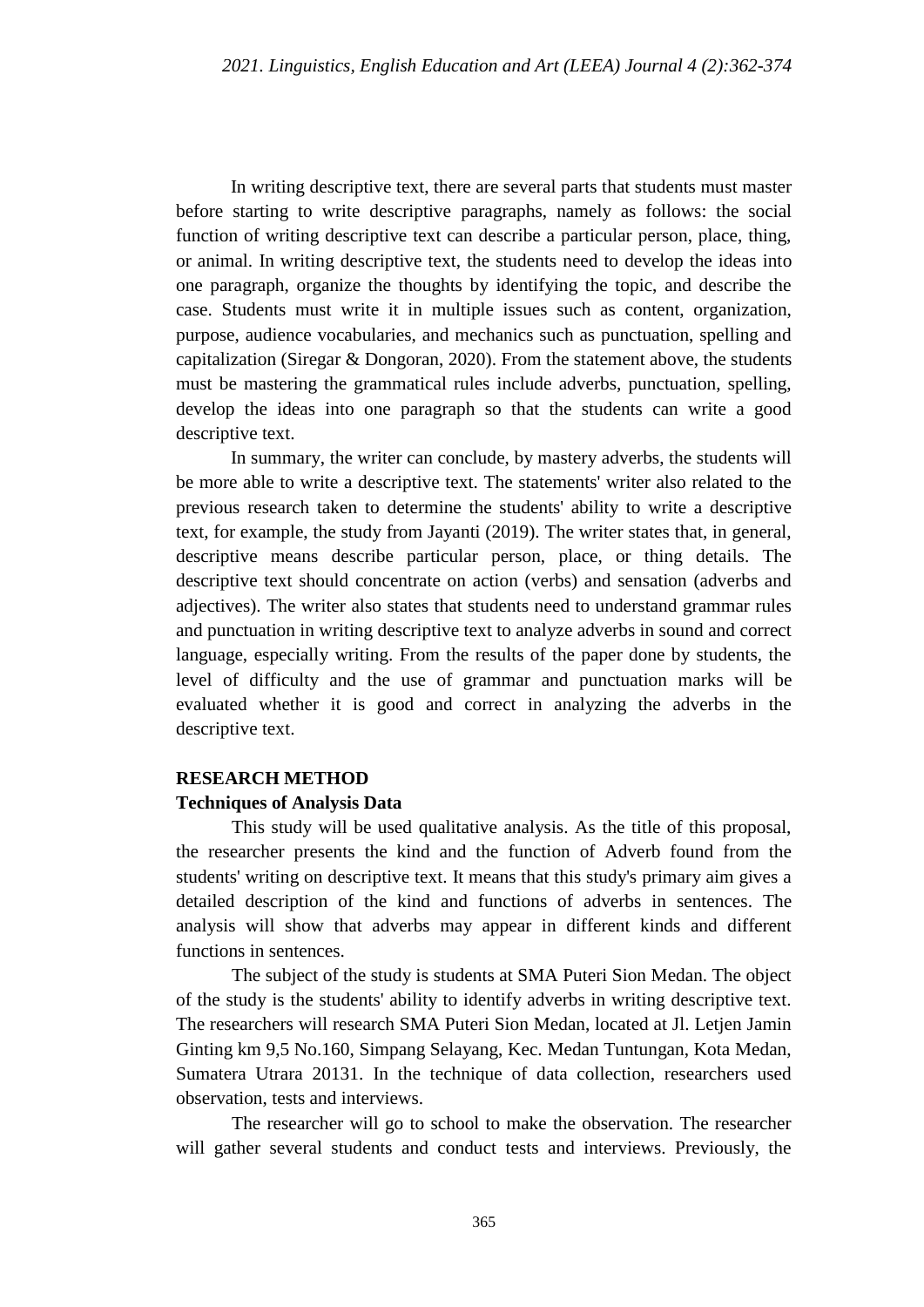In writing descriptive text, there are several parts that students must master before starting to write descriptive paragraphs, namely as follows: the social function of writing descriptive text can describe a particular person, place, thing, or animal. In writing descriptive text, the students need to develop the ideas into one paragraph, organize the thoughts by identifying the topic, and describe the case. Students must write it in multiple issues such as content, organization, purpose, audience vocabularies, and mechanics such as punctuation, spelling and capitalization (Siregar & Dongoran, 2020). From the statement above, the students must be mastering the grammatical rules include adverbs, punctuation, spelling, develop the ideas into one paragraph so that the students can write a good descriptive text.

In summary, the writer can conclude, by mastery adverbs, the students will be more able to write a descriptive text. The statements' writer also related to the previous research taken to determine the students' ability to write a descriptive text, for example, the study from Jayanti (2019). The writer states that, in general, descriptive means describe particular person, place, or thing details. The descriptive text should concentrate on action (verbs) and sensation (adverbs and adjectives). The writer also states that students need to understand grammar rules and punctuation in writing descriptive text to analyze adverbs in sound and correct language, especially writing. From the results of the paper done by students, the level of difficulty and the use of grammar and punctuation marks will be evaluated whether it is good and correct in analyzing the adverbs in the descriptive text.

### **RESEARCH METHOD**

#### **Techniques of Analysis Data**

This study will be used qualitative analysis. As the title of this proposal, the researcher presents the kind and the function of Adverb found from the students' writing on descriptive text. It means that this study's primary aim gives a detailed description of the kind and functions of adverbs in sentences. The analysis will show that adverbs may appear in different kinds and different functions in sentences.

The subject of the study is students at SMA Puteri Sion Medan. The object of the study is the students' ability to identify adverbs in writing descriptive text. The researchers will research SMA Puteri Sion Medan, located at Jl. Letjen Jamin Ginting km 9,5 No.160, Simpang Selayang, Kec. Medan Tuntungan, Kota Medan, Sumatera Utrara 20131. In the technique of data collection, researchers used observation, tests and interviews.

The researcher will go to school to make the observation. The researcher will gather several students and conduct tests and interviews. Previously, the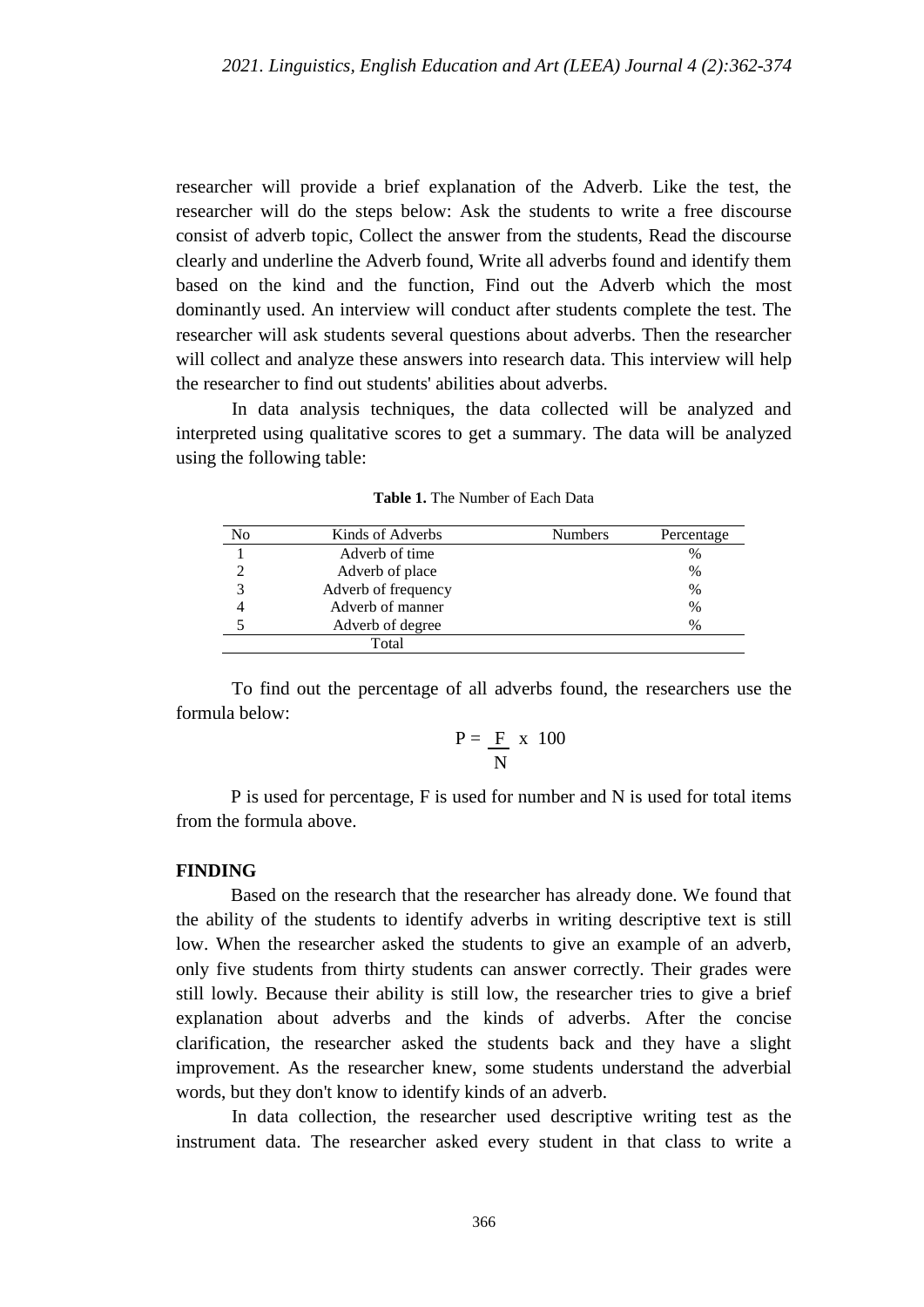researcher will provide a brief explanation of the Adverb. Like the test, the researcher will do the steps below: Ask the students to write a free discourse consist of adverb topic, Collect the answer from the students, Read the discourse clearly and underline the Adverb found, Write all adverbs found and identify them based on the kind and the function, Find out the Adverb which the most dominantly used. An interview will conduct after students complete the test. The researcher will ask students several questions about adverbs. Then the researcher will collect and analyze these answers into research data. This interview will help the researcher to find out students' abilities about adverbs.

In data analysis techniques, the data collected will be analyzed and interpreted using qualitative scores to get a summary. The data will be analyzed using the following table:

| No | Kinds of Adverbs    | <b>Numbers</b> | Percentage |
|----|---------------------|----------------|------------|
|    | Adverb of time      |                | %          |
|    | Adverb of place     |                | $\%$       |
|    | Adverb of frequency |                | $\%$       |
|    | Adverb of manner    |                | $\%$       |
|    | Adverb of degree    |                | $\%$       |
|    | Total               |                |            |

**Table 1.** The Number of Each Data

To find out the percentage of all adverbs found, the researchers use the formula below:

$$
P = \frac{F}{N} \times 100
$$

P is used for percentage, F is used for number and N is used for total items from the formula above.

#### **FINDING**

Based on the research that the researcher has already done. We found that the ability of the students to identify adverbs in writing descriptive text is still low. When the researcher asked the students to give an example of an adverb, only five students from thirty students can answer correctly. Their grades were still lowly. Because their ability is still low, the researcher tries to give a brief explanation about adverbs and the kinds of adverbs. After the concise clarification, the researcher asked the students back and they have a slight improvement. As the researcher knew, some students understand the adverbial words, but they don't know to identify kinds of an adverb.

In data collection, the researcher used descriptive writing test as the instrument data. The researcher asked every student in that class to write a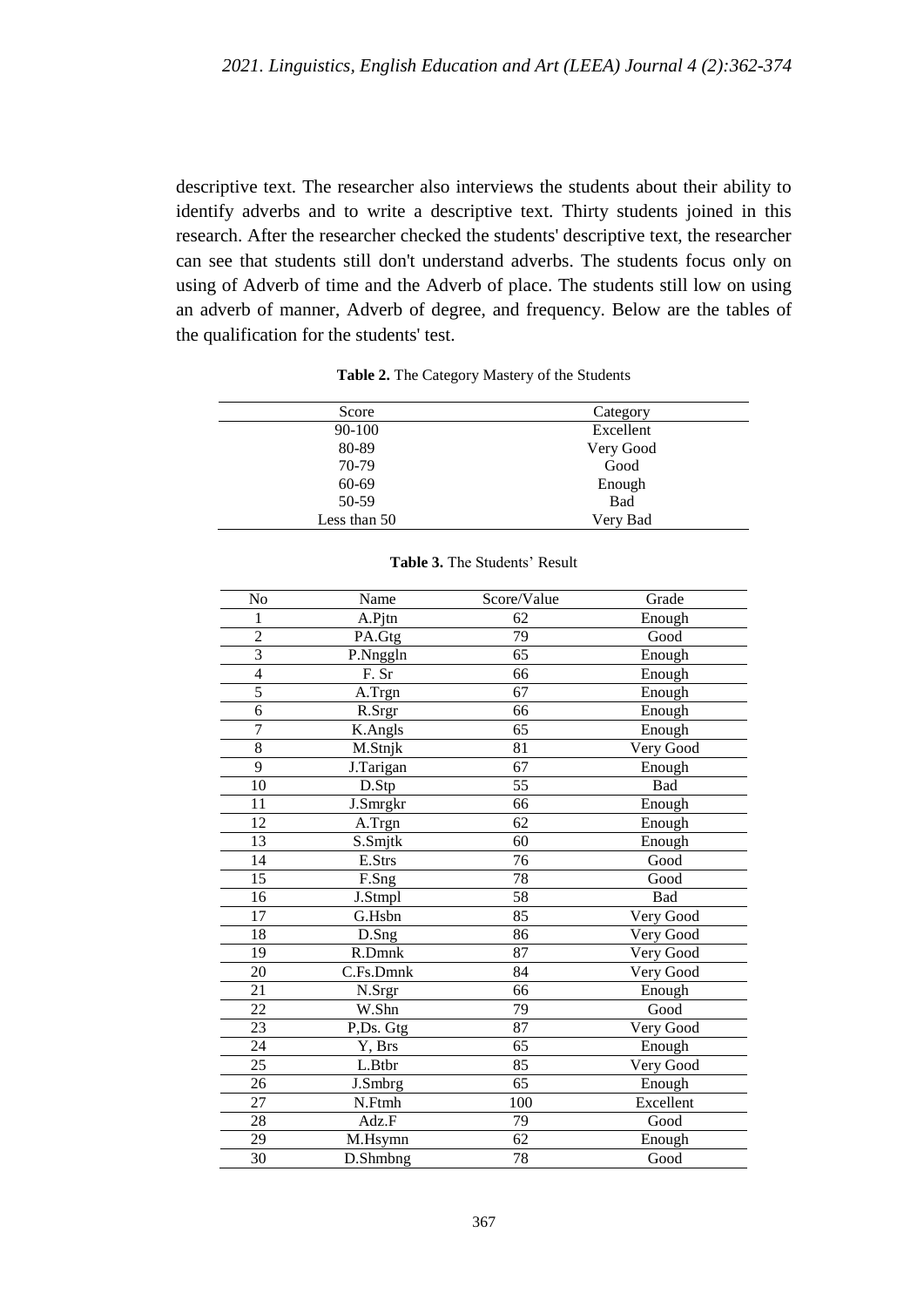descriptive text. The researcher also interviews the students about their ability to identify adverbs and to write a descriptive text. Thirty students joined in this research. After the researcher checked the students' descriptive text, the researcher can see that students still don't understand adverbs. The students focus only on using of Adverb of time and the Adverb of place. The students still low on using an adverb of manner, Adverb of degree, and frequency. Below are the tables of the qualification for the students' test.

| Score        | Category  |
|--------------|-----------|
| 90-100       | Excellent |
| 80-89        | Very Good |
| 70-79        | Good      |
| 60-69        | Enough    |
| 50-59        | Bad       |
| Less than 50 | Very Bad  |

**Table 2.** The Category Mastery of the Students

| No              | Name                    | Score/Value | Grade      |
|-----------------|-------------------------|-------------|------------|
| 1               | A.Pjtn                  | 62          | Enough     |
| $\overline{2}$  | PA.Gtg                  | 79          | Good       |
| 3               | P.Nnggln                | 65          | Enough     |
| $\overline{4}$  | F. Sr                   | 66          | Enough     |
| $\overline{5}$  | A.Trgn                  | 67          | Enough     |
| 6               | R.Srgr                  | 66          | Enough     |
| $\overline{7}$  | K.Angls                 | 65          | Enough     |
| 8               | M.Stnjk                 | 81          | Very Good  |
| 9               | J.Tarigan               | 67          | Enough     |
| 10              | D.Stp                   | 55          | Bad        |
| 11              | J.Smrgkr                | 66          | Enough     |
| $\overline{12}$ | A.Trgn                  | 62          | Enough     |
| 13              | S.Smjtk                 | 60          | Enough     |
| 14              | E.Strs                  | 76          | Good       |
| $\overline{15}$ | F.Sng                   | 78          | Good       |
| 16              | J.Stmpl                 | 58          | <b>Bad</b> |
| 17              | G.Hsbn                  | 85          | Very Good  |
| 18              | D.Sng                   | 86          | Very Good  |
| 19              | R.Dmnk                  | 87          | Very Good  |
| 20              | C.Fs.Dmnk               | 84          | Very Good  |
| 21              | N.Srgr                  | 66          | Enough     |
| 22              | W.Shn                   | 79          | Good       |
| 23              | P,Ds. Gtg               | 87          | Very Good  |
| 24              | Y, Brs                  | 65          | Enough     |
| 25              | L.Btbr                  | 85          | Very Good  |
| 26              | J.Smbrg                 | 65          | Enough     |
| 27              | N.Ftmh                  | 100         | Excellent  |
| 28              | Adz.F                   | 79          | Good       |
| 29              | M.Hsymn                 | 62          | Enough     |
| $\overline{30}$ | $\overline{D}$ . Shmbng | 78          | Good       |

#### **Table 3.** The Students' Result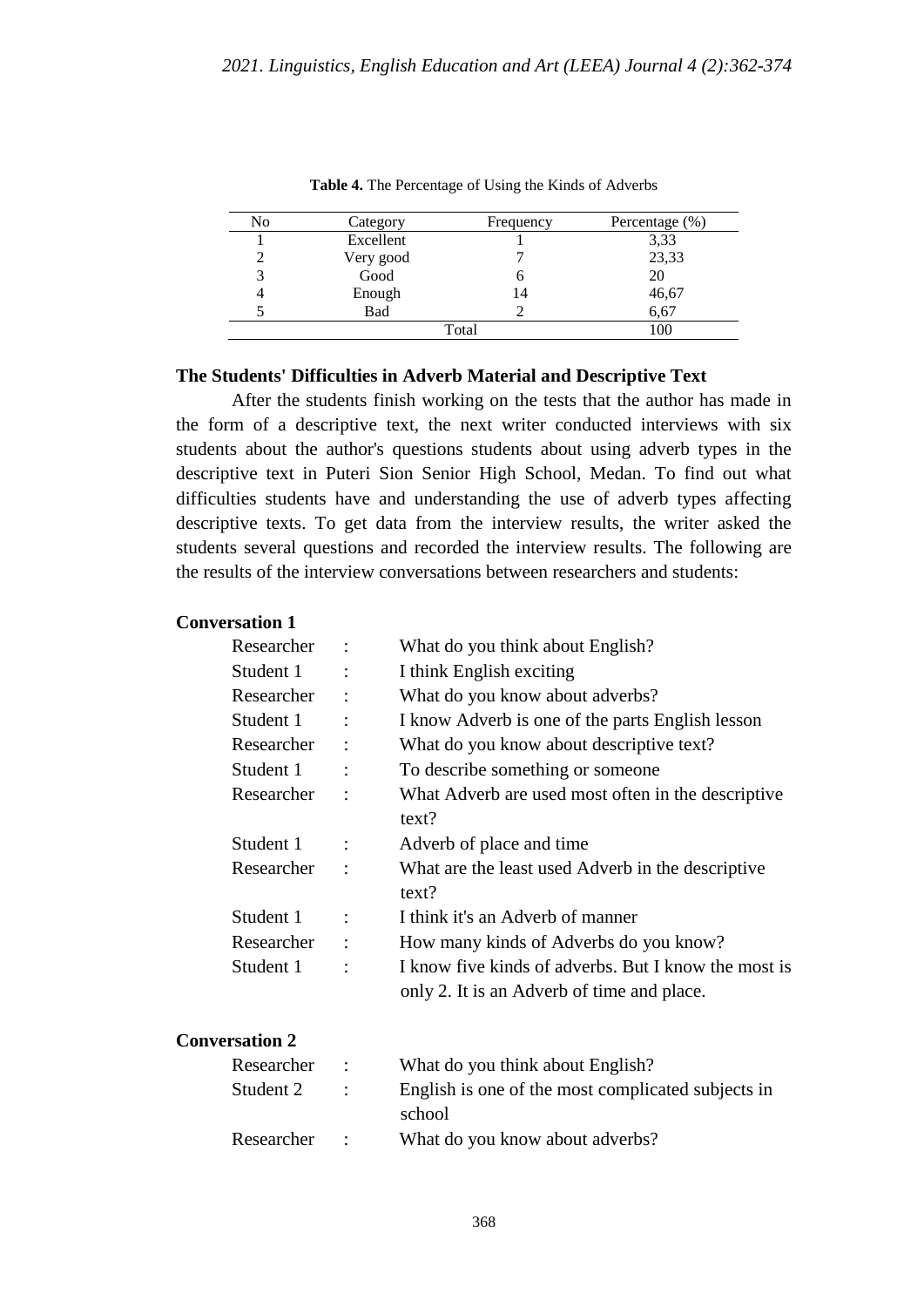| No | Category  | Frequency | Percentage (%) |
|----|-----------|-----------|----------------|
|    | Excellent |           | 3,33           |
|    | Very good |           | 23,33          |
|    | Good      |           | 20             |
|    | Enough    | 14        | 46,67          |
|    | Bad       |           | 6,67           |
|    |           | Total     | 100            |

**Table 4.** The Percentage of Using the Kinds of Adverbs

#### **The Students' Difficulties in Adverb Material and Descriptive Text**

After the students finish working on the tests that the author has made in the form of a descriptive text, the next writer conducted interviews with six students about the author's questions students about using adverb types in the descriptive text in Puteri Sion Senior High School, Medan. To find out what difficulties students have and understanding the use of adverb types affecting descriptive texts. To get data from the interview results, the writer asked the students several questions and recorded the interview results. The following are the results of the interview conversations between researchers and students:

### **Conversation 1**

| Researcher            |                | What do you think about English?                                                                   |
|-----------------------|----------------|----------------------------------------------------------------------------------------------------|
| Student 1             |                | I think English exciting                                                                           |
| Researcher            |                | What do you know about adverbs?                                                                    |
| Student 1             | $\ddot{\cdot}$ | I know Adverb is one of the parts English lesson                                                   |
| Researcher            | $\ddot{\cdot}$ | What do you know about descriptive text?                                                           |
| Student 1             |                | To describe something or someone                                                                   |
| Researcher            |                | What Adverb are used most often in the descriptive<br>text?                                        |
| Student 1             | $\ddot{\cdot}$ | Adverb of place and time                                                                           |
| Researcher            |                | What are the least used Adverb in the descriptive<br>text?                                         |
| Student 1             | $\ddot{\cdot}$ | I think it's an Adverb of manner                                                                   |
| Researcher            | $\ddot{\cdot}$ | How many kinds of Adverbs do you know?                                                             |
| Student 1             | $\ddot{\cdot}$ | I know five kinds of adverbs. But I know the most is<br>only 2. It is an Adverb of time and place. |
| <b>Conversation 2</b> |                |                                                                                                    |
| Researcher            | $\ddot{\cdot}$ | What do you think about English?                                                                   |
| Student 2             |                | English is one of the most complicated subjects in                                                 |

school Researcher : What do you know about adverbs?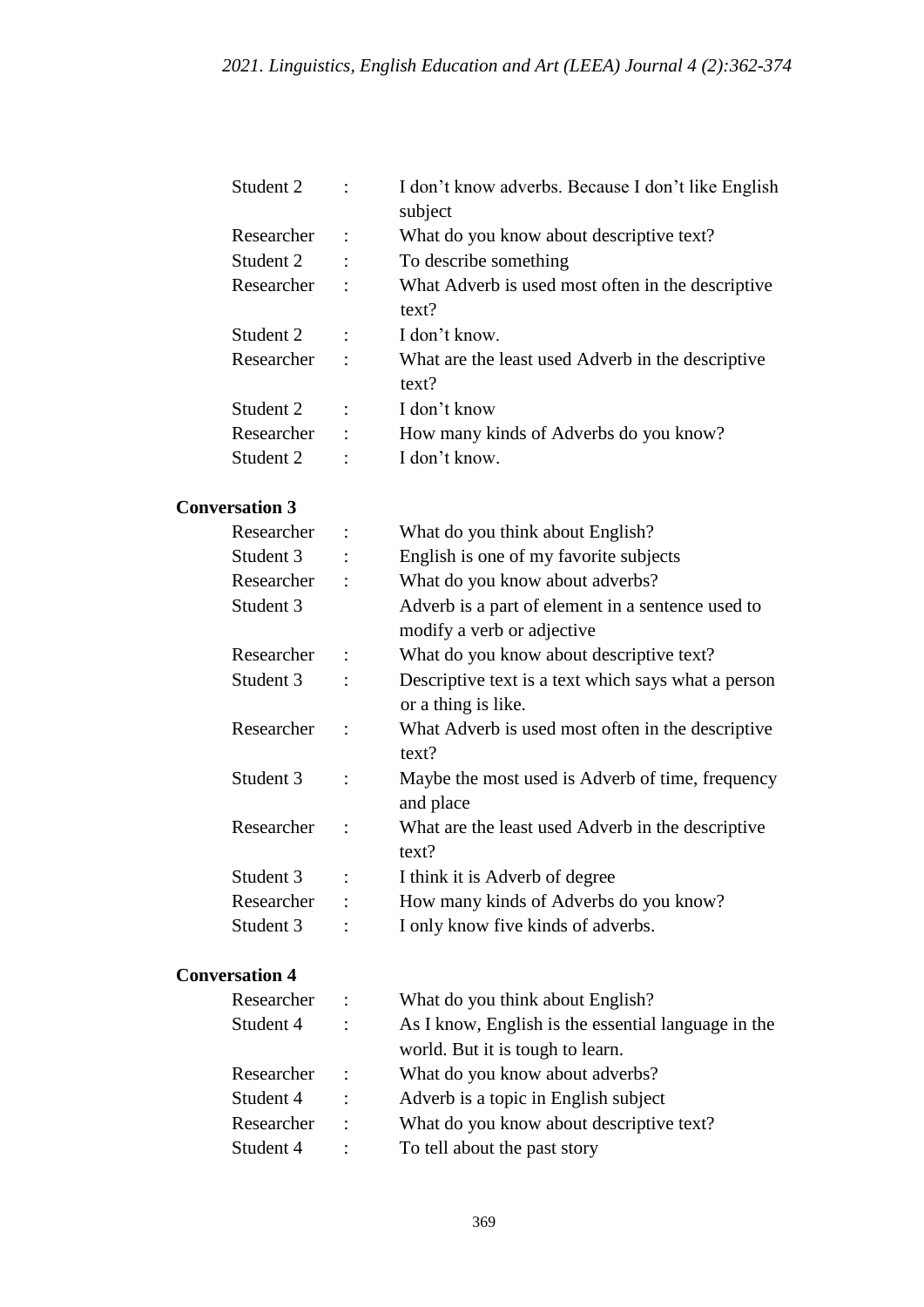| Student 2  |                      | I don't know adverbs. Because I don't like English |
|------------|----------------------|----------------------------------------------------|
|            |                      | subject                                            |
| Researcher | $\ddot{\cdot}$       | What do you know about descriptive text?           |
| Student 2  | $\ddot{\cdot}$       | To describe something                              |
| Researcher | $\ddot{\cdot}$       | What Adverb is used most often in the descriptive  |
|            |                      | text?                                              |
| Student 2  | $\ddot{\cdot}$       | I don't know.                                      |
| Researcher | $\ddot{\phantom{a}}$ | What are the least used Adverb in the descriptive  |
|            |                      | text?                                              |
| Student 2  | $\ddot{\cdot}$       | I don't know                                       |
| Researcher | ÷                    | How many kinds of Adverbs do you know?             |
| Student 2  | ٠                    | I don't know.                                      |

## **Conversation 3**

| Researcher |                      | What do you think about English?                    |
|------------|----------------------|-----------------------------------------------------|
| Student 3  |                      | English is one of my favorite subjects              |
| Researcher |                      | What do you know about adverbs?                     |
| Student 3  |                      | Adverb is a part of element in a sentence used to   |
|            |                      | modify a verb or adjective                          |
| Researcher | $\ddot{\phantom{a}}$ | What do you know about descriptive text?            |
| Student 3  |                      | Descriptive text is a text which says what a person |
|            |                      | or a thing is like.                                 |
| Researcher | $\ddot{\cdot}$       | What Adverb is used most often in the descriptive   |
|            |                      | text?                                               |
| Student 3  | $\ddot{\cdot}$       | Maybe the most used is Adverb of time, frequency    |
|            |                      | and place                                           |
| Researcher |                      | What are the least used Adverb in the descriptive   |
|            |                      | text?                                               |
| Student 3  |                      | I think it is Adverb of degree                      |
| Researcher |                      | How many kinds of Adverbs do you know?              |
| Student 3  |                      | I only know five kinds of adverbs.                  |

## **Conversation 4**

| Researcher | $\ddot{\phantom{1}}$ | What do you think about English?                    |
|------------|----------------------|-----------------------------------------------------|
| Student 4  | $\mathbf{L}$         | As I know, English is the essential language in the |
|            |                      | world. But it is tough to learn.                    |
| Researcher | $\mathbb{R}^2$       | What do you know about adverbs?                     |
| Student 4  | $\mathbf{r}$         | Adverb is a topic in English subject                |
| Researcher | $\cdot$ :            | What do you know about descriptive text?            |
| Student 4  | $\cdot$ :            | To tell about the past story                        |
|            |                      |                                                     |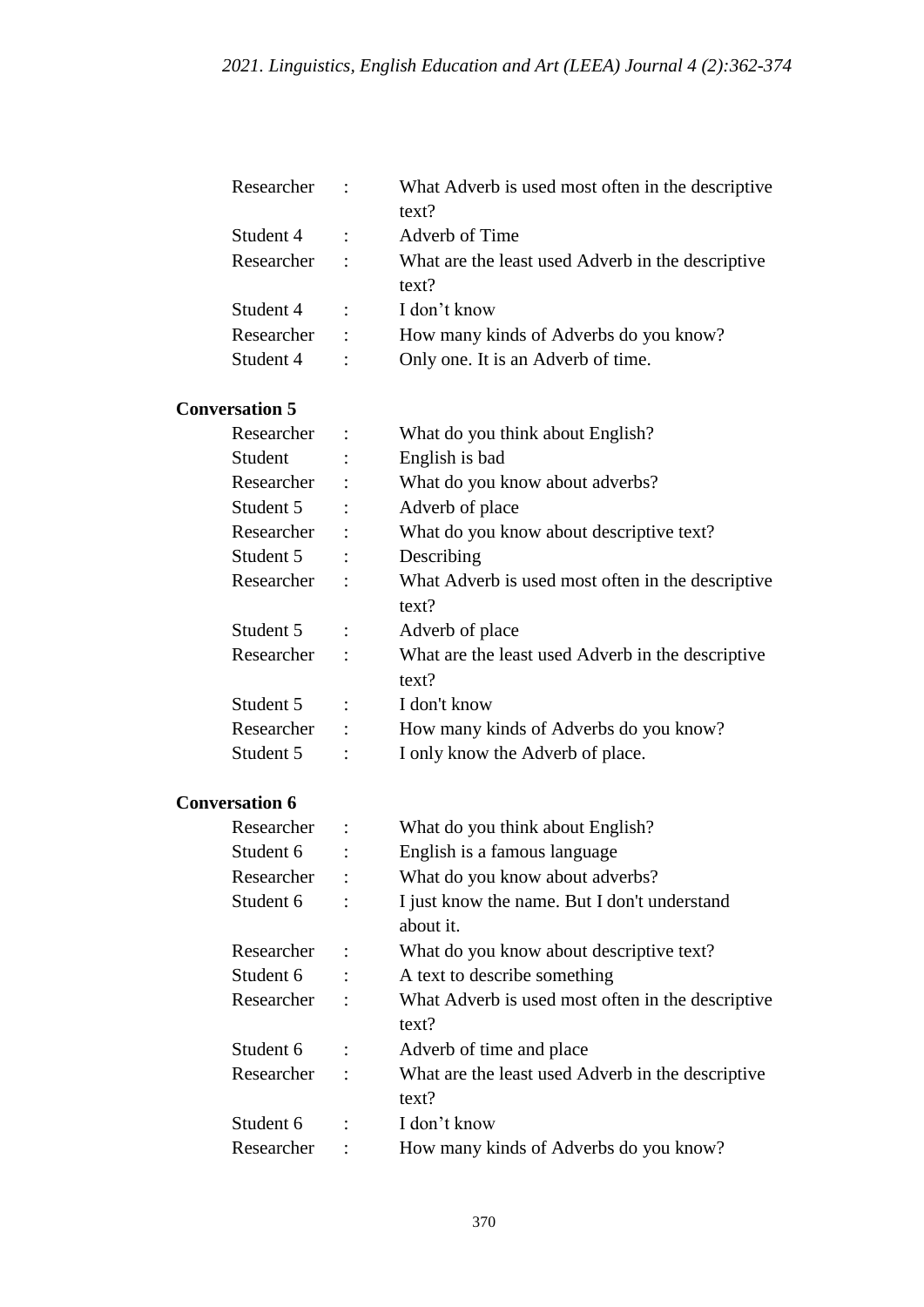| Researcher            |                      | What Adverb is used most often in the descriptive<br>text? |
|-----------------------|----------------------|------------------------------------------------------------|
| Student 4             | $\ddot{\phantom{a}}$ | Adverb of Time                                             |
| Researcher            | $\ddot{\phantom{a}}$ | What are the least used Adverb in the descriptive<br>text? |
| Student 4             | ÷                    | I don't know                                               |
| Researcher            | $\ddot{\cdot}$       | How many kinds of Adverbs do you know?                     |
| Student 4             | $\ddot{\cdot}$       | Only one. It is an Adverb of time.                         |
| <b>Conversation 5</b> |                      |                                                            |
| Researcher            |                      | What do you think about English?                           |

| Student    | English is bad                                    |
|------------|---------------------------------------------------|
| Researcher | What do you know about adverbs?                   |
| Student 5  | Adverb of place                                   |
| Researcher | What do you know about descriptive text?          |
| Student 5  | Describing                                        |
| Researcher | What Adverb is used most often in the descriptive |
|            | text?                                             |
| Student 5  | Adverb of place                                   |
| Researcher | What are the least used Adverb in the descriptive |
|            | text?                                             |
| Student 5  | I don't know                                      |
| Researcher | How many kinds of Adverbs do you know?            |
| Student 5  | I only know the Adverb of place.                  |

## **Conversation 6**

| Researcher |   | What do you think about English?                  |
|------------|---|---------------------------------------------------|
| Student 6  | ٠ | English is a famous language                      |
| Researcher |   | What do you know about adverbs?                   |
| Student 6  |   | I just know the name. But I don't understand      |
|            |   | about it.                                         |
| Researcher |   | What do you know about descriptive text?          |
| Student 6  |   | A text to describe something                      |
| Researcher |   | What Adverb is used most often in the descriptive |
|            |   | text?                                             |
| Student 6  |   | Adverb of time and place                          |
| Researcher |   | What are the least used Adverb in the descriptive |
|            |   | text?                                             |
| Student 6  |   | I don't know                                      |
| Researcher |   | How many kinds of Adverbs do you know?            |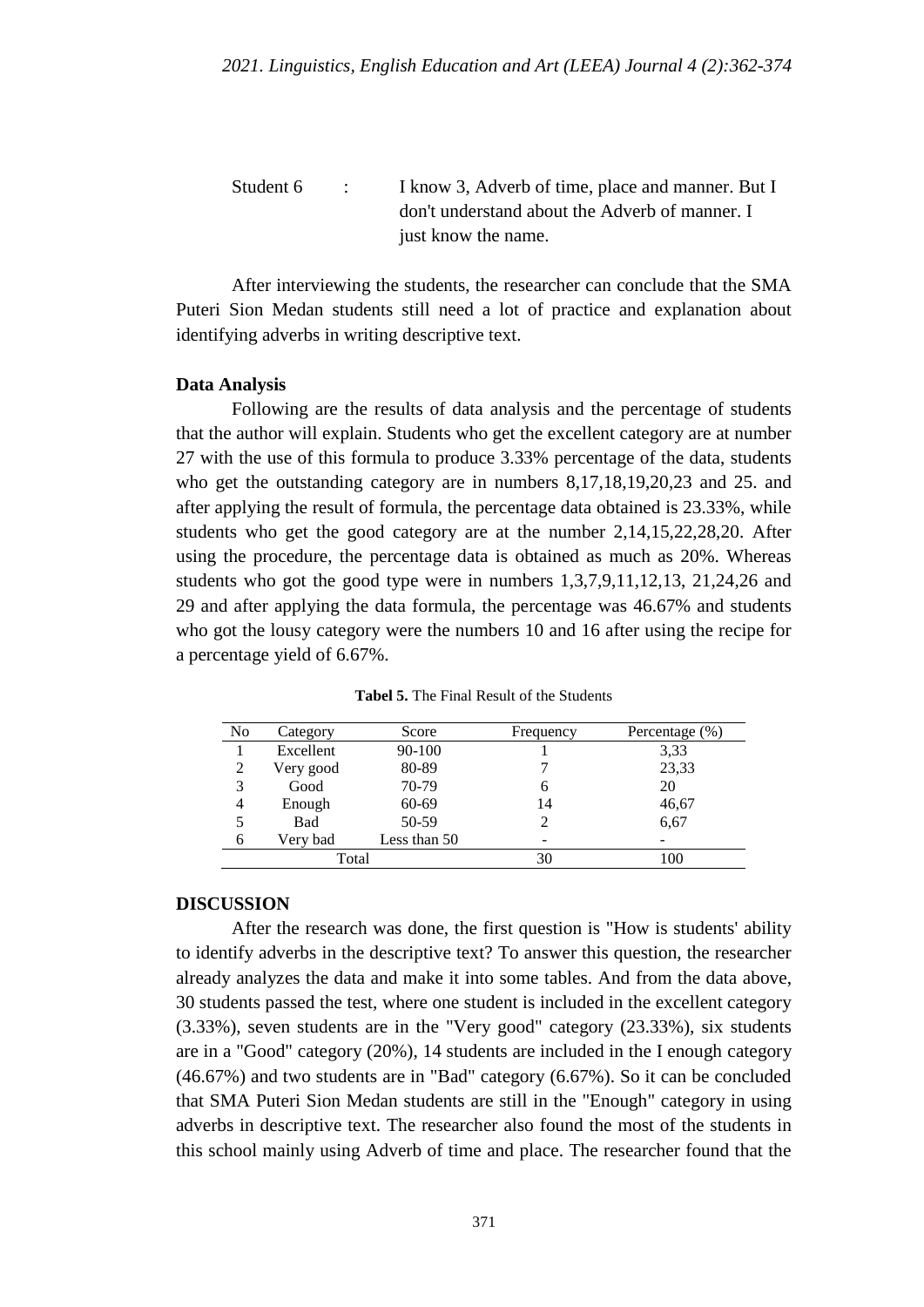| Student 6 | <b>Contract Contract</b> | I know 3, Adverb of time, place and manner. But I |
|-----------|--------------------------|---------------------------------------------------|
|           |                          | don't understand about the Adverb of manner. I    |
|           |                          | just know the name.                               |

After interviewing the students, the researcher can conclude that the SMA Puteri Sion Medan students still need a lot of practice and explanation about identifying adverbs in writing descriptive text.

### **Data Analysis**

Following are the results of data analysis and the percentage of students that the author will explain. Students who get the excellent category are at number 27 with the use of this formula to produce 3.33% percentage of the data, students who get the outstanding category are in numbers 8,17,18,19,20,23 and 25. and after applying the result of formula, the percentage data obtained is 23.33%, while students who get the good category are at the number 2,14,15,22,28,20. After using the procedure, the percentage data is obtained as much as 20%. Whereas students who got the good type were in numbers 1,3,7,9,11,12,13, 21,24,26 and 29 and after applying the data formula, the percentage was 46.67% and students who got the lousy category were the numbers 10 and 16 after using the recipe for a percentage yield of 6.67%.

| N <sub>0</sub> | Category  | Score        | Frequency | Percentage $(\%)$ |
|----------------|-----------|--------------|-----------|-------------------|
|                | Excellent | 90-100       |           | 3.33              |
| 2              | Very good | 80-89        |           | 23,33             |
| 3              | Good      | 70-79        | O         | 20                |
| 4              | Enough    | 60-69        | 14        | 46,67             |
|                | Bad       | 50-59        |           | 6,67              |
| 6              | Very bad  | Less than 50 |           |                   |
| Total          |           |              | 30        | 100               |

**Tabel 5.** The Final Result of the Students

#### **DISCUSSION**

After the research was done, the first question is "How is students' ability to identify adverbs in the descriptive text? To answer this question, the researcher already analyzes the data and make it into some tables. And from the data above, 30 students passed the test, where one student is included in the excellent category (3.33%), seven students are in the "Very good" category (23.33%), six students are in a "Good" category (20%), 14 students are included in the I enough category (46.67%) and two students are in "Bad" category (6.67%). So it can be concluded that SMA Puteri Sion Medan students are still in the "Enough" category in using adverbs in descriptive text. The researcher also found the most of the students in this school mainly using Adverb of time and place. The researcher found that the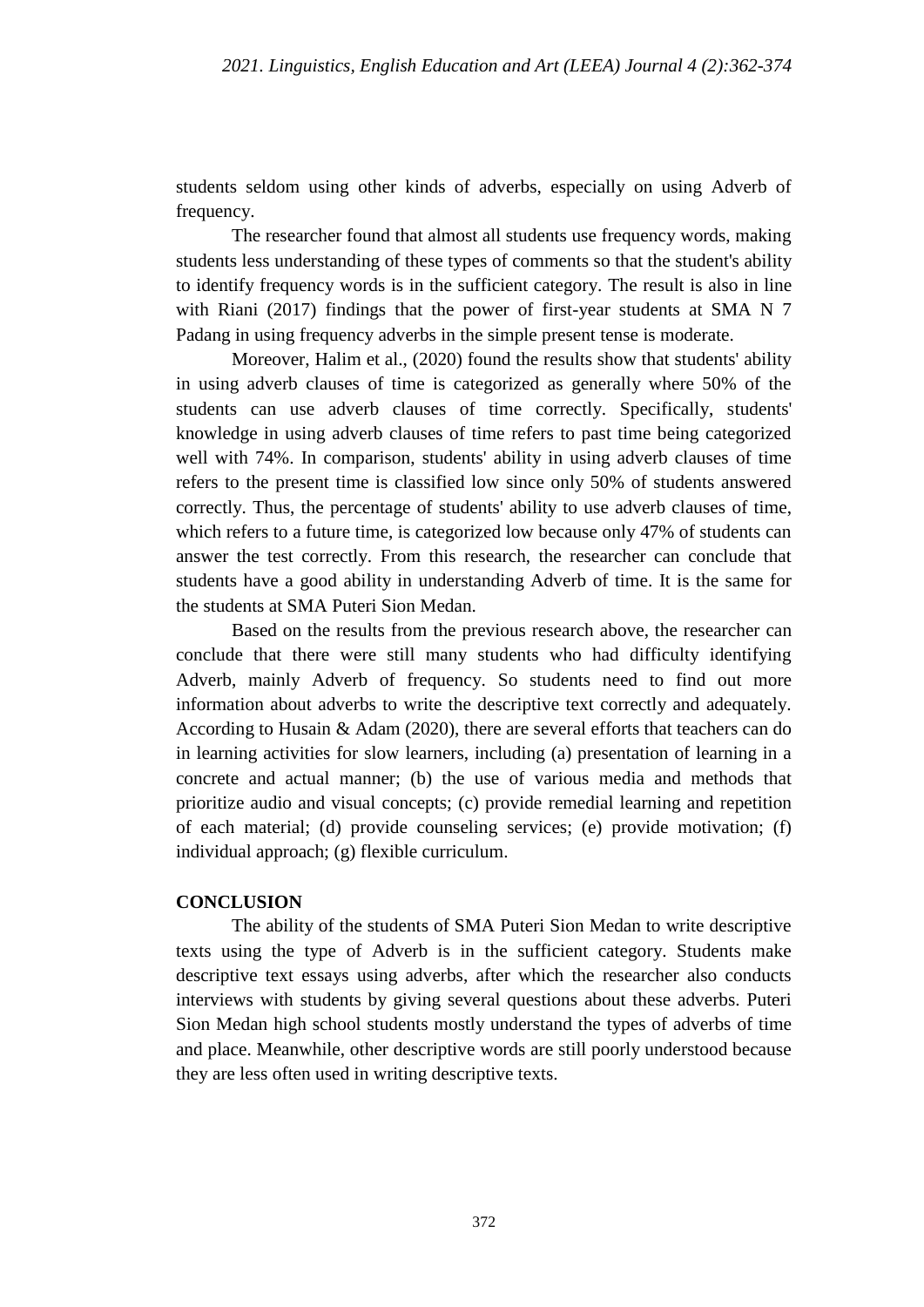students seldom using other kinds of adverbs, especially on using Adverb of frequency.

The researcher found that almost all students use frequency words, making students less understanding of these types of comments so that the student's ability to identify frequency words is in the sufficient category. The result is also in line with Riani (2017) findings that the power of first-year students at SMA N 7 Padang in using frequency adverbs in the simple present tense is moderate.

Moreover, Halim et al., (2020) found the results show that students' ability in using adverb clauses of time is categorized as generally where 50% of the students can use adverb clauses of time correctly. Specifically, students' knowledge in using adverb clauses of time refers to past time being categorized well with 74%. In comparison, students' ability in using adverb clauses of time refers to the present time is classified low since only 50% of students answered correctly. Thus, the percentage of students' ability to use adverb clauses of time, which refers to a future time, is categorized low because only 47% of students can answer the test correctly. From this research, the researcher can conclude that students have a good ability in understanding Adverb of time. It is the same for the students at SMA Puteri Sion Medan.

Based on the results from the previous research above, the researcher can conclude that there were still many students who had difficulty identifying Adverb, mainly Adverb of frequency. So students need to find out more information about adverbs to write the descriptive text correctly and adequately. According to Husain & Adam (2020), there are several efforts that teachers can do in learning activities for slow learners, including (a) presentation of learning in a concrete and actual manner; (b) the use of various media and methods that prioritize audio and visual concepts; (c) provide remedial learning and repetition of each material; (d) provide counseling services; (e) provide motivation; (f) individual approach; (g) flexible curriculum.

### **CONCLUSION**

The ability of the students of SMA Puteri Sion Medan to write descriptive texts using the type of Adverb is in the sufficient category. Students make descriptive text essays using adverbs, after which the researcher also conducts interviews with students by giving several questions about these adverbs. Puteri Sion Medan high school students mostly understand the types of adverbs of time and place. Meanwhile, other descriptive words are still poorly understood because they are less often used in writing descriptive texts.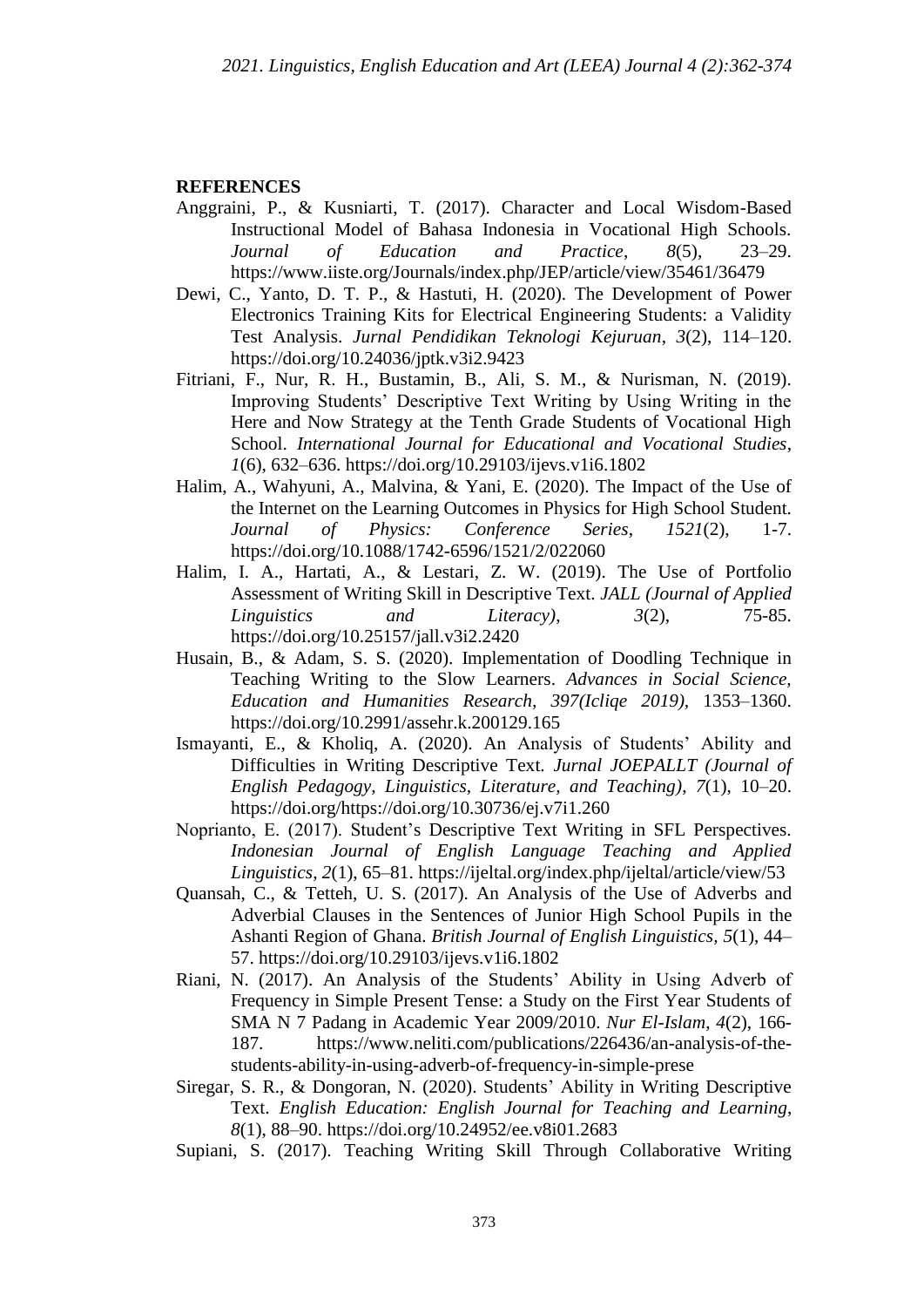#### **REFERENCES**

- Anggraini, P., & Kusniarti, T. (2017). Character and Local Wisdom-Based Instructional Model of Bahasa Indonesia in Vocational High Schools. *Journal of Education and Practice*, *8*(5), 23–29. https://www.iiste.org/Journals/index.php/JEP/article/view/35461/36479
- Dewi, C., Yanto, D. T. P., & Hastuti, H. (2020). The Development of Power Electronics Training Kits for Electrical Engineering Students: a Validity Test Analysis. *Jurnal Pendidikan Teknologi Kejuruan*, *3*(2), 114–120. https://doi.org/10.24036/jptk.v3i2.9423
- Fitriani, F., Nur, R. H., Bustamin, B., Ali, S. M., & Nurisman, N. (2019). Improving Students' Descriptive Text Writing by Using Writing in the Here and Now Strategy at the Tenth Grade Students of Vocational High School. *International Journal for Educational and Vocational Studies*, *1*(6), 632–636. https://doi.org/10.29103/ijevs.v1i6.1802
- Halim, A., Wahyuni, A., Malvina, & Yani, E. (2020). The Impact of the Use of the Internet on the Learning Outcomes in Physics for High School Student. *Journal of Physics: Conference Series*, *1521*(2), 1-7. https://doi.org/10.1088/1742-6596/1521/2/022060
- Halim, I. A., Hartati, A., & Lestari, Z. W. (2019). The Use of Portfolio Assessment of Writing Skill in Descriptive Text. *JALL (Journal of Applied Linguistics and Literacy)*, *3*(2), 75-85. https://doi.org/10.25157/jall.v3i2.2420
- Husain, B., & Adam, S. S. (2020). Implementation of Doodling Technique in Teaching Writing to the Slow Learners. *Advances in Social Science, Education and Humanities Research, 397(Icliqe 2019),* 1353–1360. https://doi.org/10.2991/assehr.k.200129.165
- Ismayanti, E., & Kholiq, A. (2020). An Analysis of Students' Ability and Difficulties in Writing Descriptive Text. *Jurnal JOEPALLT (Journal of English Pedagogy, Linguistics, Literature, and Teaching)*, *7*(1), 10–20. https://doi.org/https://doi.org/10.30736/ej.v7i1.260
- Noprianto, E. (2017). Student's Descriptive Text Writing in SFL Perspectives. *Indonesian Journal of English Language Teaching and Applied Linguistics*, *2*(1), 65–81. https://ijeltal.org/index.php/ijeltal/article/view/53
- Quansah, C., & Tetteh, U. S. (2017). An Analysis of the Use of Adverbs and Adverbial Clauses in the Sentences of Junior High School Pupils in the Ashanti Region of Ghana. *British Journal of English Linguistics, 5*(1), 44– 57. https://doi.org/10.29103/ijevs.v1i6.1802
- Riani, N. (2017). An Analysis of the Students' Ability in Using Adverb of Frequency in Simple Present Tense: a Study on the First Year Students of SMA N 7 Padang in Academic Year 2009/2010. *Nur El-Islam*, *4*(2), 166- 187. https://www.neliti.com/publications/226436/an-analysis-of-thestudents-ability-in-using-adverb-of-frequency-in-simple-prese
- Siregar, S. R., & Dongoran, N. (2020). Students' Ability in Writing Descriptive Text. *English Education: English Journal for Teaching and Learning*, *8*(1), 88–90. https://doi.org/10.24952/ee.v8i01.2683
- Supiani, S. (2017). Teaching Writing Skill Through Collaborative Writing